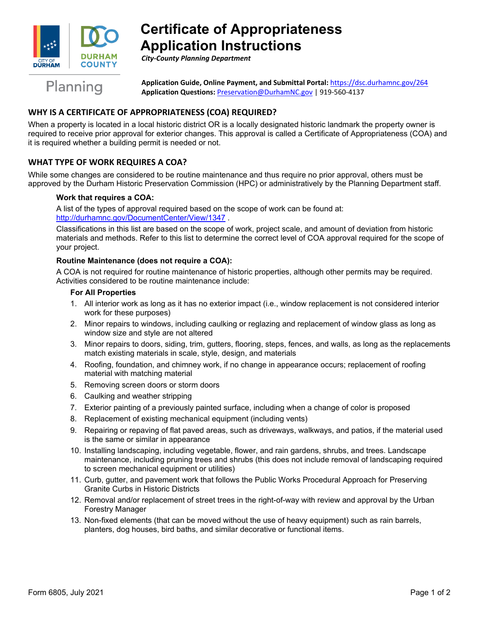

# **Certificate of Appropriateness Application Instructions**

*City-County Planning Department*

Planning

**Application Guide, Online Payment, and Submittal Portal:** <https://dsc.durhamnc.gov/264> **Application Questions:** [Preservation@DurhamNC.gov](mailto:Preservation@DurhamNC.gov) | 919-560-4137

# **WHY IS A CERTIFICATE OF APPROPRIATENESS (COA) REQUIRED?**

When a property is located in a local historic district OR is a locally designated historic landmark the property owner is required to receive prior approval for exterior changes. This approval is called a Certificate of Appropriateness (COA) and it is required whether a building permit is needed or not.

## **WHAT TYPE OF WORK REQUIRES A COA?**

While some changes are considered to be routine maintenance and thus require no prior approval, others must be approved by the Durham Historic Preservation Commission (HPC) or administratively by the Planning Department staff.

#### **Work that requires a COA:**

A list of the types of approval required based on the scope of work can be found at: <http://durhamnc.gov/DocumentCenter/View/1347> .

Classifications in this list are based on the scope of work, project scale, and amount of deviation from historic materials and methods. Refer to this list to determine the correct level of COA approval required for the scope of your project.

#### **Routine Maintenance (does not require a COA):**

A COA is not required for routine maintenance of historic properties, although other permits may be required. Activities considered to be routine maintenance include:

#### **For All Properties**

- 1. All interior work as long as it has no exterior impact (i.e., window replacement is not considered interior work for these purposes)
- 2. Minor repairs to windows, including caulking or reglazing and replacement of window glass as long as window size and style are not altered
- 3. Minor repairs to doors, siding, trim, gutters, flooring, steps, fences, and walls, as long as the replacements match existing materials in scale, style, design, and materials
- 4. Roofing, foundation, and chimney work, if no change in appearance occurs; replacement of roofing material with matching material
- 5. Removing screen doors or storm doors
- 6. Caulking and weather stripping
- 7. Exterior painting of a previously painted surface, including when a change of color is proposed
- 8. Replacement of existing mechanical equipment (including vents)
- 9. Repairing or repaving of flat paved areas, such as driveways, walkways, and patios, if the material used is the same or similar in appearance
- 10. Installing landscaping, including vegetable, flower, and rain gardens, shrubs, and trees. Landscape maintenance, including pruning trees and shrubs (this does not include removal of landscaping required to screen mechanical equipment or utilities)
- 11. Curb, gutter, and pavement work that follows the Public Works Procedural Approach for Preserving Granite Curbs in Historic Districts
- 12. Removal and/or replacement of street trees in the right-of-way with review and approval by the Urban Forestry Manager
- 13. Non-fixed elements (that can be moved without the use of heavy equipment) such as rain barrels, planters, dog houses, bird baths, and similar decorative or functional items.